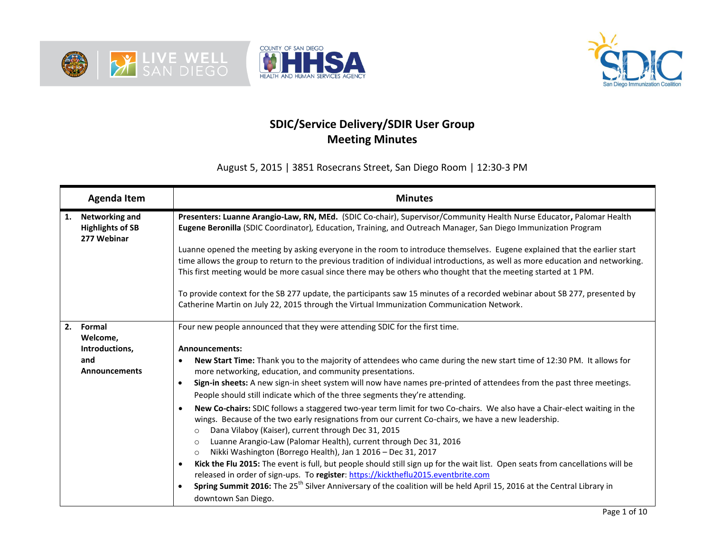





## **SDIC/Service Delivery/SDIR User Group Meeting Minutes**

August 5, 2015 | 3851 Rosecrans Street, San Diego Room | 12:30-3 PM

|    | <b>Agenda Item</b>                                              | <b>Minutes</b>                                                                                                                                                                                                                                                                                                                                                                                                                                              |
|----|-----------------------------------------------------------------|-------------------------------------------------------------------------------------------------------------------------------------------------------------------------------------------------------------------------------------------------------------------------------------------------------------------------------------------------------------------------------------------------------------------------------------------------------------|
| 1. | <b>Networking and</b><br><b>Highlights of SB</b><br>277 Webinar | Presenters: Luanne Arangio-Law, RN, MEd. (SDIC Co-chair), Supervisor/Community Health Nurse Educator, Palomar Health<br>Eugene Beronilla (SDIC Coordinator), Education, Training, and Outreach Manager, San Diego Immunization Program                                                                                                                                                                                                                      |
|    |                                                                 | Luanne opened the meeting by asking everyone in the room to introduce themselves. Eugene explained that the earlier start                                                                                                                                                                                                                                                                                                                                   |
|    |                                                                 | time allows the group to return to the previous tradition of individual introductions, as well as more education and networking.                                                                                                                                                                                                                                                                                                                            |
|    |                                                                 | This first meeting would be more casual since there may be others who thought that the meeting started at 1 PM.                                                                                                                                                                                                                                                                                                                                             |
|    |                                                                 | To provide context for the SB 277 update, the participants saw 15 minutes of a recorded webinar about SB 277, presented by<br>Catherine Martin on July 22, 2015 through the Virtual Immunization Communication Network.                                                                                                                                                                                                                                     |
| 2. | Formal                                                          | Four new people announced that they were attending SDIC for the first time.                                                                                                                                                                                                                                                                                                                                                                                 |
|    | Welcome,                                                        |                                                                                                                                                                                                                                                                                                                                                                                                                                                             |
|    | Introductions,                                                  | <b>Announcements:</b>                                                                                                                                                                                                                                                                                                                                                                                                                                       |
|    | and<br><b>Announcements</b>                                     | New Start Time: Thank you to the majority of attendees who came during the new start time of 12:30 PM. It allows for<br>more networking, education, and community presentations.                                                                                                                                                                                                                                                                            |
|    |                                                                 | Sign-in sheets: A new sign-in sheet system will now have names pre-printed of attendees from the past three meetings.                                                                                                                                                                                                                                                                                                                                       |
|    |                                                                 | People should still indicate which of the three segments they're attending.                                                                                                                                                                                                                                                                                                                                                                                 |
|    |                                                                 | New Co-chairs: SDIC follows a staggered two-year term limit for two Co-chairs. We also have a Chair-elect waiting in the<br>wings. Because of the two early resignations from our current Co-chairs, we have a new leadership.<br>Dana Vilaboy (Kaiser), current through Dec 31, 2015<br>$\circ$<br>Luanne Arangio-Law (Palomar Health), current through Dec 31, 2016<br>$\circ$<br>Nikki Washington (Borrego Health), Jan 1 2016 - Dec 31, 2017<br>$\circ$ |
|    |                                                                 | Kick the Flu 2015: The event is full, but people should still sign up for the wait list. Open seats from cancellations will be<br>٠                                                                                                                                                                                                                                                                                                                         |
|    |                                                                 | released in order of sign-ups. To register: https://kicktheflu2015.eventbrite.com<br>Spring Summit 2016: The 25 <sup>th</sup> Silver Anniversary of the coalition will be held April 15, 2016 at the Central Library in                                                                                                                                                                                                                                     |
|    |                                                                 |                                                                                                                                                                                                                                                                                                                                                                                                                                                             |
|    |                                                                 | downtown San Diego.                                                                                                                                                                                                                                                                                                                                                                                                                                         |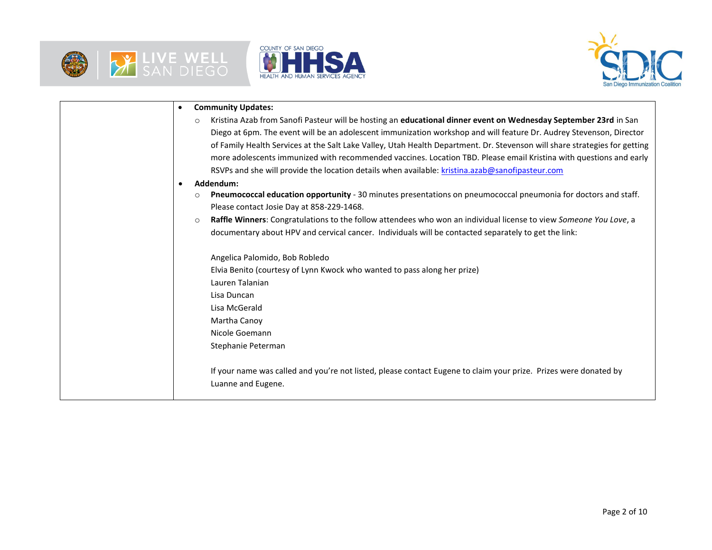





| <b>Community Updates:</b><br>$\bullet$                                                                                       |
|------------------------------------------------------------------------------------------------------------------------------|
| Kristina Azab from Sanofi Pasteur will be hosting an educational dinner event on Wednesday September 23rd in San<br>$\circ$  |
| Diego at 6pm. The event will be an adolescent immunization workshop and will feature Dr. Audrey Stevenson, Director          |
| of Family Health Services at the Salt Lake Valley, Utah Health Department. Dr. Stevenson will share strategies for getting   |
| more adolescents immunized with recommended vaccines. Location TBD. Please email Kristina with questions and early           |
| RSVPs and she will provide the location details when available: kristina.azab@sanofipasteur.com                              |
| Addendum:<br>$\bullet$                                                                                                       |
| Pneumococcal education opportunity - 30 minutes presentations on pneumococcal pneumonia for doctors and staff.<br>O          |
| Please contact Josie Day at 858-229-1468.                                                                                    |
| Raffle Winners: Congratulations to the follow attendees who won an individual license to view Someone You Love, a<br>$\circ$ |
| documentary about HPV and cervical cancer. Individuals will be contacted separately to get the link:                         |
|                                                                                                                              |
| Angelica Palomido, Bob Robledo                                                                                               |
| Elvia Benito (courtesy of Lynn Kwock who wanted to pass along her prize)                                                     |
| Lauren Talanian                                                                                                              |
| Lisa Duncan                                                                                                                  |
| Lisa McGerald                                                                                                                |
| Martha Canoy                                                                                                                 |
| Nicole Goemann                                                                                                               |
| Stephanie Peterman                                                                                                           |
|                                                                                                                              |
| If your name was called and you're not listed, please contact Eugene to claim your prize. Prizes were donated by             |
| Luanne and Eugene.                                                                                                           |
|                                                                                                                              |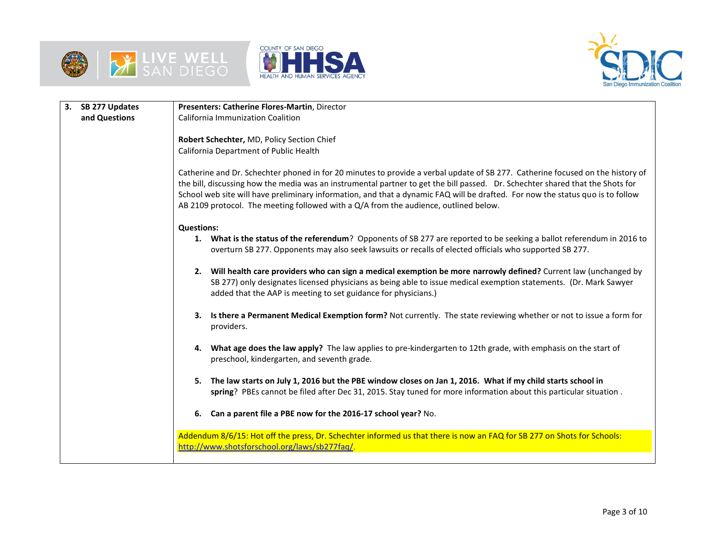





| 3. | SB 277 Updates | Presenters: Catherine Flores-Martin, Director                                                                                                                                                                                                                                                                                                                                                                                                                                              |  |  |  |  |  |  |
|----|----------------|--------------------------------------------------------------------------------------------------------------------------------------------------------------------------------------------------------------------------------------------------------------------------------------------------------------------------------------------------------------------------------------------------------------------------------------------------------------------------------------------|--|--|--|--|--|--|
|    | and Questions  | California Immunization Coalition                                                                                                                                                                                                                                                                                                                                                                                                                                                          |  |  |  |  |  |  |
|    |                | Robert Schechter, MD, Policy Section Chief                                                                                                                                                                                                                                                                                                                                                                                                                                                 |  |  |  |  |  |  |
|    |                | California Department of Public Health                                                                                                                                                                                                                                                                                                                                                                                                                                                     |  |  |  |  |  |  |
|    |                |                                                                                                                                                                                                                                                                                                                                                                                                                                                                                            |  |  |  |  |  |  |
|    |                | Catherine and Dr. Schechter phoned in for 20 minutes to provide a verbal update of SB 277. Catherine focused on the history of<br>the bill, discussing how the media was an instrumental partner to get the bill passed. Dr. Schechter shared that the Shots for<br>School web site will have preliminary information, and that a dynamic FAQ will be drafted. For now the status quo is to follow<br>AB 2109 protocol. The meeting followed with a Q/A from the audience, outlined below. |  |  |  |  |  |  |
|    |                | <b>Questions:</b>                                                                                                                                                                                                                                                                                                                                                                                                                                                                          |  |  |  |  |  |  |
|    |                | 1. What is the status of the referendum? Opponents of SB 277 are reported to be seeking a ballot referendum in 2016 to<br>overturn SB 277. Opponents may also seek lawsuits or recalls of elected officials who supported SB 277.                                                                                                                                                                                                                                                          |  |  |  |  |  |  |
|    |                | 2. Will health care providers who can sign a medical exemption be more narrowly defined? Current law (unchanged by<br>SB 277) only designates licensed physicians as being able to issue medical exemption statements. (Dr. Mark Sawyer<br>added that the AAP is meeting to set guidance for physicians.)                                                                                                                                                                                  |  |  |  |  |  |  |
|    |                | 3. Is there a Permanent Medical Exemption form? Not currently. The state reviewing whether or not to issue a form for<br>providers.                                                                                                                                                                                                                                                                                                                                                        |  |  |  |  |  |  |
|    |                | What age does the law apply? The law applies to pre-kindergarten to 12th grade, with emphasis on the start of<br>4.<br>preschool, kindergarten, and seventh grade.                                                                                                                                                                                                                                                                                                                         |  |  |  |  |  |  |
|    |                | The law starts on July 1, 2016 but the PBE window closes on Jan 1, 2016. What if my child starts school in<br>5.<br>spring? PBEs cannot be filed after Dec 31, 2015. Stay tuned for more information about this particular situation.                                                                                                                                                                                                                                                      |  |  |  |  |  |  |
|    |                | 6. Can a parent file a PBE now for the 2016-17 school year? No.                                                                                                                                                                                                                                                                                                                                                                                                                            |  |  |  |  |  |  |
|    |                | Addendum 8/6/15: Hot off the press, Dr. Schechter informed us that there is now an FAQ for SB 277 on Shots for Schools:<br>http://www.shotsforschool.org/laws/sb277faq/.                                                                                                                                                                                                                                                                                                                   |  |  |  |  |  |  |
|    |                |                                                                                                                                                                                                                                                                                                                                                                                                                                                                                            |  |  |  |  |  |  |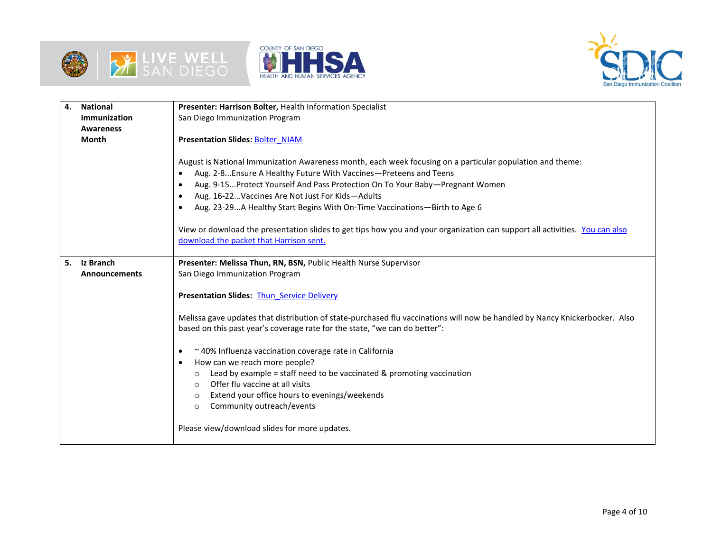





| 4.                                            | <b>National</b>                                                                    | Presenter: Harrison Bolter, Health Information Specialist                                                                                                                                                                                                                                                                                                                                                                                                                                                                                                                  |  |  |  |  |  |
|-----------------------------------------------|------------------------------------------------------------------------------------|----------------------------------------------------------------------------------------------------------------------------------------------------------------------------------------------------------------------------------------------------------------------------------------------------------------------------------------------------------------------------------------------------------------------------------------------------------------------------------------------------------------------------------------------------------------------------|--|--|--|--|--|
|                                               | Immunization                                                                       | San Diego Immunization Program                                                                                                                                                                                                                                                                                                                                                                                                                                                                                                                                             |  |  |  |  |  |
|                                               | <b>Awareness</b>                                                                   |                                                                                                                                                                                                                                                                                                                                                                                                                                                                                                                                                                            |  |  |  |  |  |
|                                               | <b>Month</b>                                                                       | <b>Presentation Slides: Bolter NIAM</b>                                                                                                                                                                                                                                                                                                                                                                                                                                                                                                                                    |  |  |  |  |  |
|                                               |                                                                                    | August is National Immunization Awareness month, each week focusing on a particular population and theme:<br>Aug. 2-8 Ensure A Healthy Future With Vaccines-Preteens and Teens<br>Aug. 9-15 Protect Yourself And Pass Protection On To Your Baby-Pregnant Women<br>Aug. 16-22 Vaccines Are Not Just For Kids-Adults<br>Aug. 23-29A Healthy Start Begins With On-Time Vaccinations-Birth to Age 6<br>View or download the presentation slides to get tips how you and your organization can support all activities. You can also<br>download the packet that Harrison sent. |  |  |  |  |  |
| 5.                                            | Iz Branch                                                                          | Presenter: Melissa Thun, RN, BSN, Public Health Nurse Supervisor                                                                                                                                                                                                                                                                                                                                                                                                                                                                                                           |  |  |  |  |  |
|                                               | <b>Announcements</b>                                                               | San Diego Immunization Program                                                                                                                                                                                                                                                                                                                                                                                                                                                                                                                                             |  |  |  |  |  |
|                                               |                                                                                    | <b>Presentation Slides: Thun Service Delivery</b>                                                                                                                                                                                                                                                                                                                                                                                                                                                                                                                          |  |  |  |  |  |
|                                               |                                                                                    |                                                                                                                                                                                                                                                                                                                                                                                                                                                                                                                                                                            |  |  |  |  |  |
|                                               |                                                                                    | Melissa gave updates that distribution of state-purchased flu vaccinations will now be handled by Nancy Knickerbocker. Also<br>based on this past year's coverage rate for the state, "we can do better":                                                                                                                                                                                                                                                                                                                                                                  |  |  |  |  |  |
|                                               | ~40% Influenza vaccination coverage rate in California                             |                                                                                                                                                                                                                                                                                                                                                                                                                                                                                                                                                                            |  |  |  |  |  |
|                                               |                                                                                    | How can we reach more people?                                                                                                                                                                                                                                                                                                                                                                                                                                                                                                                                              |  |  |  |  |  |
|                                               | Lead by example = staff need to be vaccinated $&$ promoting vaccination<br>$\circ$ |                                                                                                                                                                                                                                                                                                                                                                                                                                                                                                                                                                            |  |  |  |  |  |
|                                               |                                                                                    | Offer flu vaccine at all visits<br>$\circ$                                                                                                                                                                                                                                                                                                                                                                                                                                                                                                                                 |  |  |  |  |  |
|                                               |                                                                                    | Extend your office hours to evenings/weekends<br>$\circ$                                                                                                                                                                                                                                                                                                                                                                                                                                                                                                                   |  |  |  |  |  |
|                                               |                                                                                    | Community outreach/events<br>$\circ$                                                                                                                                                                                                                                                                                                                                                                                                                                                                                                                                       |  |  |  |  |  |
| Please view/download slides for more updates. |                                                                                    |                                                                                                                                                                                                                                                                                                                                                                                                                                                                                                                                                                            |  |  |  |  |  |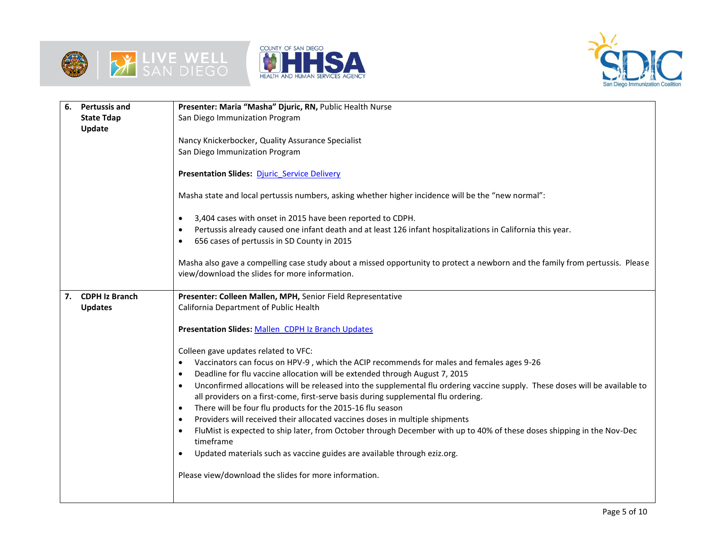





| 6.                                                  | <b>Pertussis and</b>  | Presenter: Maria "Masha" Djuric, RN, Public Health Nurse                                                                            |  |  |
|-----------------------------------------------------|-----------------------|-------------------------------------------------------------------------------------------------------------------------------------|--|--|
| San Diego Immunization Program<br><b>State Tdap</b> |                       |                                                                                                                                     |  |  |
|                                                     | Update                |                                                                                                                                     |  |  |
|                                                     |                       | Nancy Knickerbocker, Quality Assurance Specialist                                                                                   |  |  |
|                                                     |                       | San Diego Immunization Program                                                                                                      |  |  |
|                                                     |                       |                                                                                                                                     |  |  |
|                                                     |                       | <b>Presentation Slides: Djuric Service Delivery</b>                                                                                 |  |  |
|                                                     |                       |                                                                                                                                     |  |  |
|                                                     |                       | Masha state and local pertussis numbers, asking whether higher incidence will be the "new normal":                                  |  |  |
|                                                     |                       | 3,404 cases with onset in 2015 have been reported to CDPH.<br>$\bullet$                                                             |  |  |
|                                                     |                       | Pertussis already caused one infant death and at least 126 infant hospitalizations in California this year.                         |  |  |
|                                                     |                       | 656 cases of pertussis in SD County in 2015                                                                                         |  |  |
|                                                     |                       |                                                                                                                                     |  |  |
|                                                     |                       | Masha also gave a compelling case study about a missed opportunity to protect a newborn and the family from pertussis. Please       |  |  |
|                                                     |                       | view/download the slides for more information.                                                                                      |  |  |
|                                                     |                       |                                                                                                                                     |  |  |
| 7.                                                  | <b>CDPH Iz Branch</b> | Presenter: Colleen Mallen, MPH, Senior Field Representative                                                                         |  |  |
|                                                     | <b>Updates</b>        | California Department of Public Health                                                                                              |  |  |
|                                                     |                       | Presentation Slides: Mallen CDPH Iz Branch Updates                                                                                  |  |  |
|                                                     |                       |                                                                                                                                     |  |  |
|                                                     |                       | Colleen gave updates related to VFC:                                                                                                |  |  |
|                                                     |                       | Vaccinators can focus on HPV-9, which the ACIP recommends for males and females ages 9-26                                           |  |  |
|                                                     |                       | Deadline for flu vaccine allocation will be extended through August 7, 2015<br>$\bullet$                                            |  |  |
|                                                     |                       | Unconfirmed allocations will be released into the supplemental flu ordering vaccine supply. These doses will be available to        |  |  |
|                                                     |                       | all providers on a first-come, first-serve basis during supplemental flu ordering.                                                  |  |  |
|                                                     |                       | There will be four flu products for the 2015-16 flu season<br>$\bullet$                                                             |  |  |
|                                                     |                       | Providers will received their allocated vaccines doses in multiple shipments<br>$\bullet$                                           |  |  |
|                                                     |                       | FluMist is expected to ship later, from October through December with up to 40% of these doses shipping in the Nov-Dec<br>timeframe |  |  |
|                                                     |                       | Updated materials such as vaccine guides are available through eziz.org.                                                            |  |  |
|                                                     |                       |                                                                                                                                     |  |  |
|                                                     |                       | Please view/download the slides for more information.                                                                               |  |  |
|                                                     |                       |                                                                                                                                     |  |  |
|                                                     |                       |                                                                                                                                     |  |  |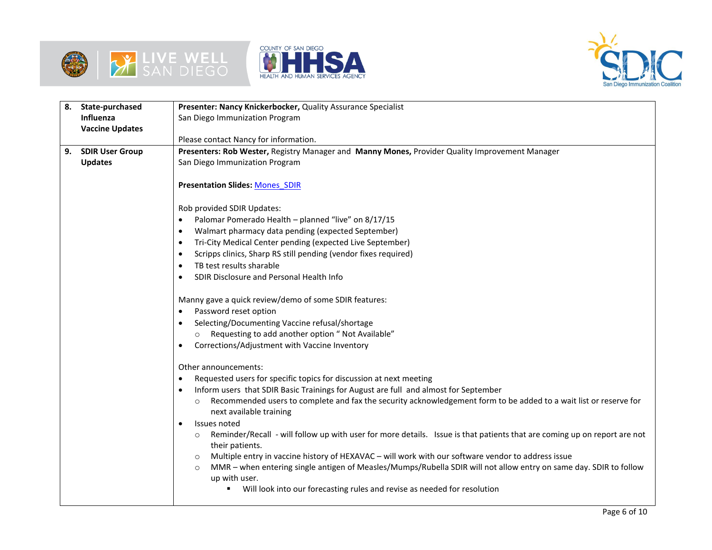





| 8. | State-purchased        | Presenter: Nancy Knickerbocker, Quality Assurance Specialist                                                                        |  |  |  |  |  |
|----|------------------------|-------------------------------------------------------------------------------------------------------------------------------------|--|--|--|--|--|
|    | <b>Influenza</b>       | San Diego Immunization Program                                                                                                      |  |  |  |  |  |
|    | <b>Vaccine Updates</b> |                                                                                                                                     |  |  |  |  |  |
|    |                        | Please contact Nancy for information.                                                                                               |  |  |  |  |  |
| 9. | <b>SDIR User Group</b> | Presenters: Rob Wester, Registry Manager and Manny Mones, Provider Quality Improvement Manager                                      |  |  |  |  |  |
|    | <b>Updates</b>         | San Diego Immunization Program                                                                                                      |  |  |  |  |  |
|    |                        |                                                                                                                                     |  |  |  |  |  |
|    |                        | <b>Presentation Slides: Mones SDIR</b>                                                                                              |  |  |  |  |  |
|    |                        |                                                                                                                                     |  |  |  |  |  |
|    |                        | Rob provided SDIR Updates:                                                                                                          |  |  |  |  |  |
|    |                        | Palomar Pomerado Health - planned "live" on 8/17/15<br>$\bullet$                                                                    |  |  |  |  |  |
|    |                        | Walmart pharmacy data pending (expected September)<br>$\bullet$                                                                     |  |  |  |  |  |
|    |                        | Tri-City Medical Center pending (expected Live September)<br>$\bullet$                                                              |  |  |  |  |  |
|    |                        | Scripps clinics, Sharp RS still pending (vendor fixes required)                                                                     |  |  |  |  |  |
|    |                        | TB test results sharable                                                                                                            |  |  |  |  |  |
|    |                        | SDIR Disclosure and Personal Health Info                                                                                            |  |  |  |  |  |
|    |                        |                                                                                                                                     |  |  |  |  |  |
|    |                        | Manny gave a quick review/demo of some SDIR features:                                                                               |  |  |  |  |  |
|    |                        | Password reset option                                                                                                               |  |  |  |  |  |
|    |                        | Selecting/Documenting Vaccine refusal/shortage                                                                                      |  |  |  |  |  |
|    |                        | Requesting to add another option " Not Available"                                                                                   |  |  |  |  |  |
|    |                        | Corrections/Adjustment with Vaccine Inventory<br>٠                                                                                  |  |  |  |  |  |
|    |                        |                                                                                                                                     |  |  |  |  |  |
|    |                        | Other announcements:                                                                                                                |  |  |  |  |  |
|    |                        | Requested users for specific topics for discussion at next meeting<br>$\bullet$                                                     |  |  |  |  |  |
|    |                        | Inform users that SDIR Basic Trainings for August are full and almost for September                                                 |  |  |  |  |  |
|    |                        | Recommended users to complete and fax the security acknowledgement form to be added to a wait list or reserve for<br>$\circ$        |  |  |  |  |  |
|    |                        | next available training                                                                                                             |  |  |  |  |  |
|    |                        | Issues noted                                                                                                                        |  |  |  |  |  |
|    |                        | Reminder/Recall - will follow up with user for more details. Issue is that patients that are coming up on report are not<br>$\circ$ |  |  |  |  |  |
|    |                        | their patients.                                                                                                                     |  |  |  |  |  |
|    |                        | Multiple entry in vaccine history of HEXAVAC - will work with our software vendor to address issue<br>$\circ$                       |  |  |  |  |  |
|    |                        | MMR - when entering single antigen of Measles/Mumps/Rubella SDIR will not allow entry on same day. SDIR to follow<br>$\circ$        |  |  |  |  |  |
|    |                        | up with user.<br>Will look into our forecasting rules and revise as needed for resolution                                           |  |  |  |  |  |
|    |                        |                                                                                                                                     |  |  |  |  |  |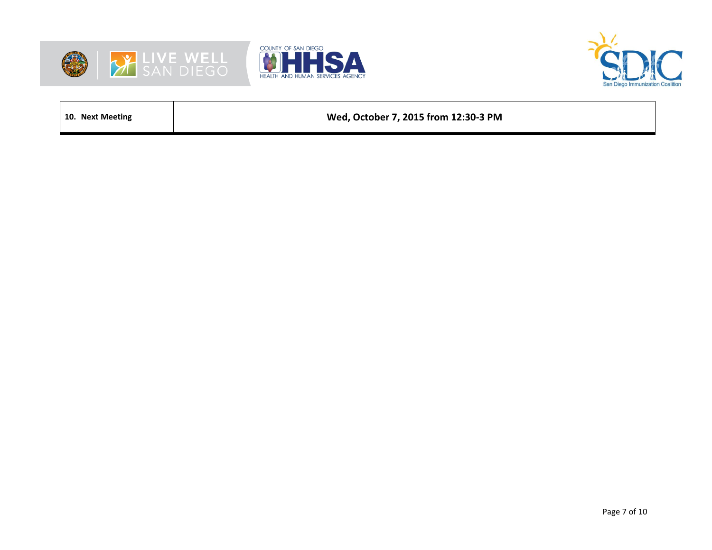





**10. Next Meeting Wed, October 7, 2015 from 12:30-3 PM**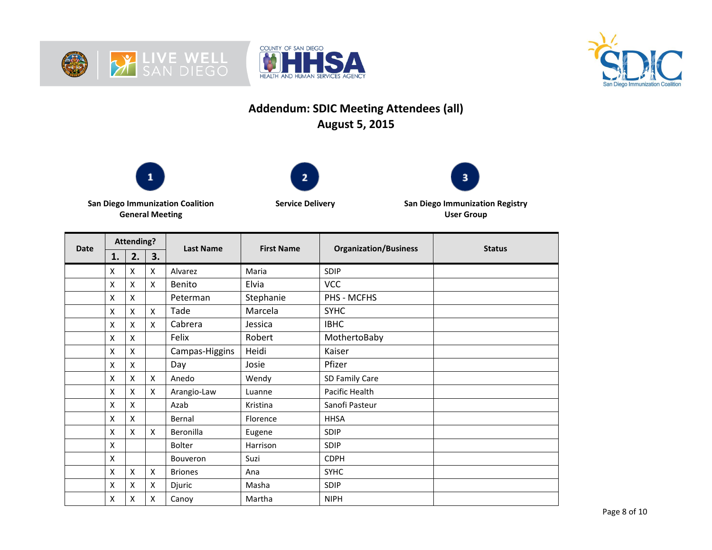





## **Addendum: SDIC Meeting Attendees (all) August 5, 2015**







**San Diego Immunization Coalition General Meeting**

**Service Delivery San Diego Immunization Registry User Group**

| <b>Date</b> | <b>Attending?</b> |                    |    | <b>Last Name</b> | <b>First Name</b> | <b>Organization/Business</b> | <b>Status</b> |
|-------------|-------------------|--------------------|----|------------------|-------------------|------------------------------|---------------|
|             | 1.                | 2.                 | 3. |                  |                   |                              |               |
|             | X                 | X                  | X  | Alvarez          | Maria             | SDIP                         |               |
|             | X                 | Χ                  | X  | Benito           | Elvia             | <b>VCC</b>                   |               |
|             | X                 | Χ                  |    | Peterman         | Stephanie         | PHS - MCFHS                  |               |
|             | X                 | X                  | X  | Tade             | Marcela           | <b>SYHC</b>                  |               |
|             | X                 | Χ                  | X  | Cabrera          | Jessica           | <b>IBHC</b>                  |               |
|             | X                 | Χ                  |    | Felix            | Robert            | MothertoBaby                 |               |
|             | X                 | X                  |    | Campas-Higgins   | Heidi             | Kaiser                       |               |
|             | X                 | $\pmb{\mathsf{X}}$ |    | Day              | Josie             | Pfizer                       |               |
|             | X                 | Χ                  | X  | Anedo            | Wendy             | SD Family Care               |               |
|             | X                 | X                  | X  | Arangio-Law      | Luanne            | Pacific Health               |               |
|             | X                 | $\pmb{\mathsf{X}}$ |    | Azab             | Kristina          | Sanofi Pasteur               |               |
|             | X                 | X                  |    | Bernal           | Florence          | <b>HHSA</b>                  |               |
|             | X                 | X                  | X  | Beronilla        | Eugene            | <b>SDIP</b>                  |               |
|             | Χ                 |                    |    | Bolter           | Harrison          | <b>SDIP</b>                  |               |
|             | X                 |                    |    | Bouveron         | Suzi              | <b>CDPH</b>                  |               |
|             | X                 | Χ                  | X  | <b>Briones</b>   | Ana               | <b>SYHC</b>                  |               |
|             | Χ                 | $\pmb{\mathsf{X}}$ | X  | Djuric           | Masha             | <b>SDIP</b>                  |               |
|             | X                 | Χ                  | X  | Canoy            | Martha            | <b>NIPH</b>                  |               |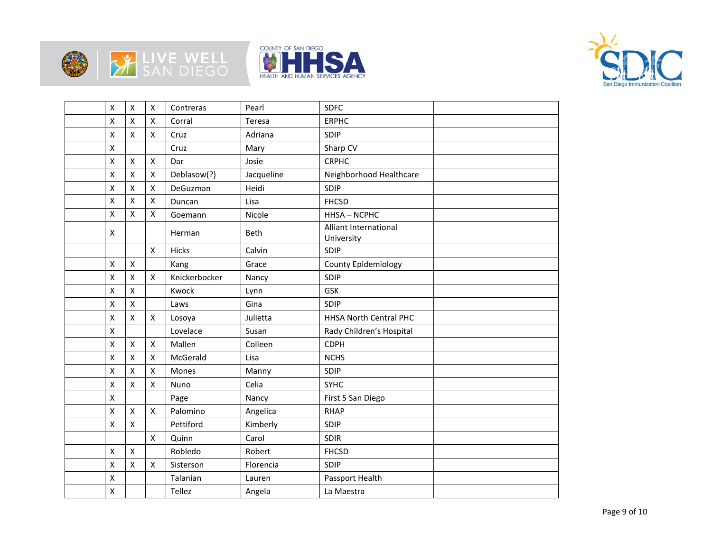







|                    | $\boldsymbol{\mathsf{x}}$ | X                  | Contreras     | Pearl      | <b>SDFC</b>                         |  |
|--------------------|---------------------------|--------------------|---------------|------------|-------------------------------------|--|
| Χ                  | X                         | X                  | Corral        | Teresa     | <b>ERPHC</b>                        |  |
| X                  | $\mathsf{x}$              | X                  | Cruz          | Adriana    | SDIP                                |  |
| $\mathsf{X}$       |                           |                    | Cruz          | Mary       | Sharp CV                            |  |
| X                  | $\pmb{\chi}$              | $\mathsf{x}$       | Dar           | Josie      | <b>CRPHC</b>                        |  |
| Χ                  | $\pmb{\chi}$              | $\pmb{\mathsf{X}}$ | Deblasow(?)   | Jacqueline | Neighborhood Healthcare             |  |
| $\pmb{\mathsf{X}}$ | $\pmb{\chi}$              | $\pmb{\mathsf{X}}$ | DeGuzman      | Heidi      | SDIP                                |  |
| $\pmb{\mathsf{X}}$ | $\mathsf{\chi}$           | $\pmb{\mathsf{X}}$ | Duncan        | Lisa       | <b>FHCSD</b>                        |  |
| X                  | $\pmb{\mathsf{X}}$        | $\pmb{\mathsf{X}}$ | Goemann       | Nicole     | HHSA-NCPHC                          |  |
| X                  |                           |                    | Herman        | Beth       | Alliant International<br>University |  |
|                    |                           | $\pmb{\mathsf{X}}$ | Hicks         | Calvin     | SDIP                                |  |
| $\mathsf{X}$       | $\boldsymbol{\mathsf{x}}$ |                    | Kang          | Grace      | County Epidemiology                 |  |
| Χ                  | $\mathsf{\chi}$           | $\pmb{\times}$     | Knickerbocker | Nancy      | SDIP                                |  |
| $\pmb{\chi}$       | $\pmb{\chi}$              |                    | Kwock         | Lynn       | GSK                                 |  |
| X                  | $\pmb{\mathsf{X}}$        |                    | Laws          | Gina       | SDIP                                |  |
| Χ                  | $\pmb{\mathsf{X}}$        | X                  | Losoya        | Julietta   | <b>HHSA North Central PHC</b>       |  |
| X                  |                           |                    | Lovelace      | Susan      | Rady Children's Hospital            |  |
| X                  | $\boldsymbol{\mathsf{x}}$ | X                  | Mallen        | Colleen    | <b>CDPH</b>                         |  |
| $\pmb{\mathsf{X}}$ | $\mathsf{\chi}$           | $\pmb{\mathsf{X}}$ | McGerald      | Lisa       | <b>NCHS</b>                         |  |
| Χ                  | $\pmb{\mathsf{X}}$        | X                  | Mones         | Manny      | SDIP                                |  |
| $\pmb{\mathsf{X}}$ | $\pmb{\mathsf{X}}$        | $\pmb{\mathsf{X}}$ | Nuno          | Celia      | <b>SYHC</b>                         |  |
| X                  |                           |                    | Page          | Nancy      | First 5 San Diego                   |  |
| $\pmb{\chi}$       | $\pmb{\mathsf{X}}$        | X                  | Palomino      | Angelica   | <b>RHAP</b>                         |  |
| X                  | $\pmb{\mathsf{X}}$        |                    | Pettiford     | Kimberly   | SDIP                                |  |
|                    |                           | $\pmb{\mathsf{X}}$ | Quinn         | Carol      | <b>SDIR</b>                         |  |
| X                  | $\boldsymbol{\mathsf{x}}$ |                    | Robledo       | Robert     | <b>FHCSD</b>                        |  |
| Χ                  | $\pmb{\mathsf{X}}$        | X                  | Sisterson     | Florencia  | SDIP                                |  |
| Χ                  |                           |                    | Talanian      | Lauren     | Passport Health                     |  |
| Χ                  |                           |                    | Tellez        | Angela     | La Maestra                          |  |